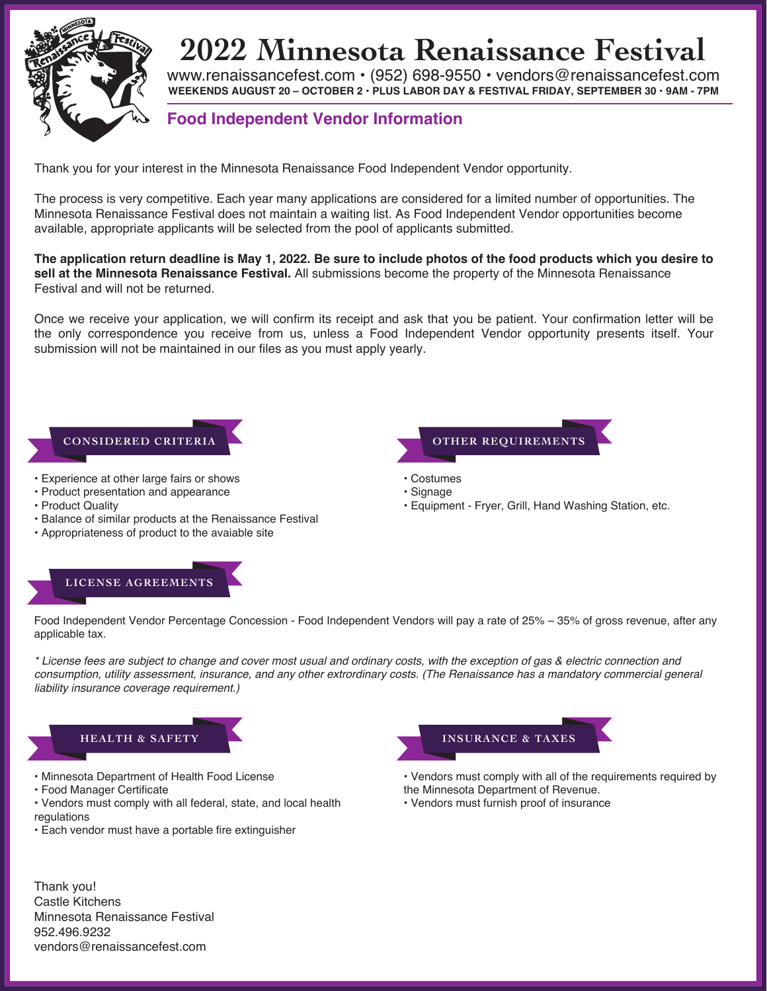

## **2022 Minnesota Renaissance Festival**

www.renaissancefest.com • (952) 698-9550 • vendors@renaissancefest.com **WEEKENDS AUGUST 20 – OCTOBER 2 • PLUS LABOR DAY & FESTIVAL FRIDAY, SEPTEMBER 30 • 9AM - 7PM**

### **Food Independent Vendor Information**

Thank you for your interest in the Minnesota Renaissance Food Independent Vendor opportunity.

The process is very competitive. Each year many applications are considered for a limited number of opportunities. The Minnesota Renaissance Festival does not maintain a waiting list. As Food Independent Vendor opportunities become available, appropriate applicants will be selected from the pool of applicants submitted.

**The application return deadline is May 1, 2022. Be sure to include photos of the food products which you desire to sell at the Minnesota Renaissance Festival.** All submissions become the property of the Minnesota Renaissance Festival and will not be returned.

Once we receive your application, we will confirm its receipt and ask that you be patient. Your confirmation letter will be the only correspondence you receive from us, unless a Food Independent Vendor opportunity presents itself. Your submission will not be maintained in our files as you must apply yearly.

#### **CONSIDERED CRITERIA**

- Experience at other large fairs or shows
- Product presentation and appearance
- Product Quality
- Balance of similar products at the Renaissance Festival
- Appropriateness of product to the avaiable site

### **LICENSE AGREEMENTS**



- Costumes
- Signage
- Equipment Fryer, Grill, Hand Washing Station, etc.

Food Independent Vendor Percentage Concession - Food Independent Vendors will pay a rate of 25% – 35% of gross revenue, after any applicable tax.

*\* License fees are subject to change and cover most usual and ordinary costs, with the exception of gas & electric connection and consumption, utility assessment, insurance, and any other extrordinary costs. (The Renaissance has a mandatory commercial general liability insurance coverage requirement.)*



- Minnesota Department of Health Food License
- Food Manager Certificate
- Vendors must comply with all federal, state, and local health regulations
- Each vendor must have a portable fire extinguisher



- Vendors must comply with all of the requirements required by the Minnesota Department of Revenue.
- Vendors must furnish proof of insurance

Thank you! Castle Kitchens Minnesota Renaissance Festival 952.496.9232 vendors@renaissancefest.com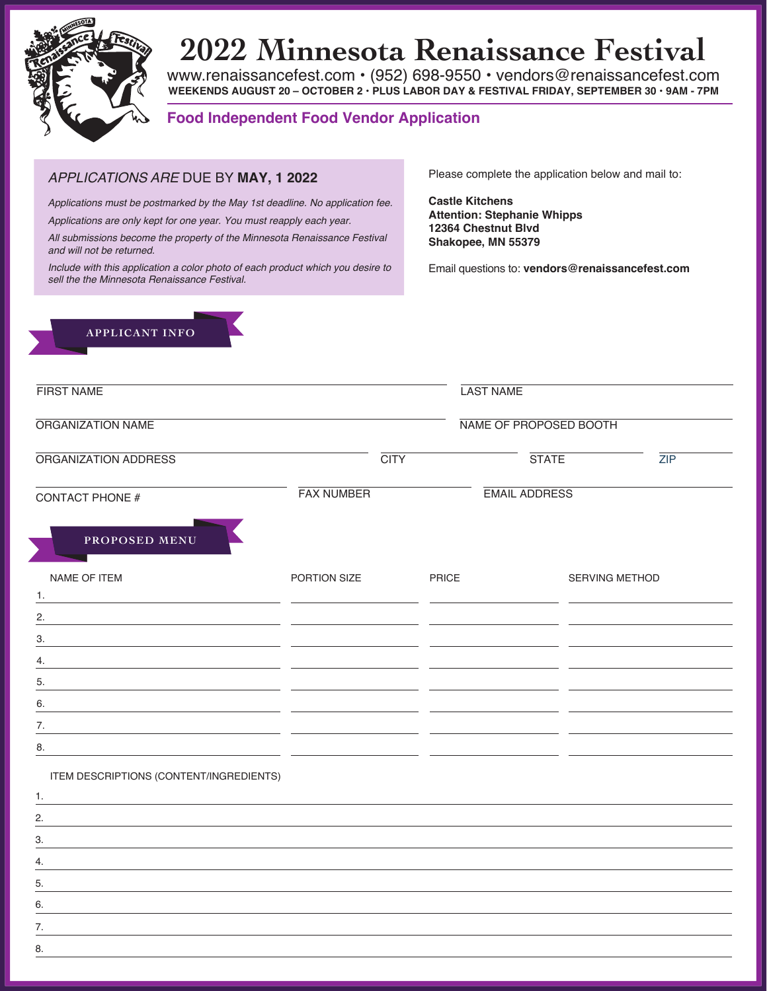

## **2022 Minnesota Renaissance Festival**

www.renaissancefest.com • (952) 698-9550 • vendors@renaissancefest.com **WEEKENDS AUGUST 20 – OCTOBER 2 • PLUS LABOR DAY & FESTIVAL FRIDAY, SEPTEMBER 30 • 9AM - 7PM**

#### **Food Independent Food Vendor Application**

#### *APPLICATIONS ARE* DUE BY **MAY, 1 2022**

*Applications must be postmarked by the* May *1st deadline. No application fee.*

*Applications are only kept for one year. You must reapply each year.*

*All submissions become the property of the Minnesota Renaissance Festival and will not be returned.*

*Include with this application a color photo of each product which you desire to sell the the Minnesota Renaissance Festival.*

Please complete the application below and mail to:

**Castle Kitchens Attention: Stephanie Whipps 12364 Chestnut Blvd Shakopee, MN 55379**

Email questions to: **vendors@renaissancefest.com**



| <b>FIRST NAME</b><br>ORGANIZATION NAME                                                                                                                                                                                              |                                           |       | <b>LAST NAME</b><br>NAME OF PROPOSED BOOTH |  |  |
|-------------------------------------------------------------------------------------------------------------------------------------------------------------------------------------------------------------------------------------|-------------------------------------------|-------|--------------------------------------------|--|--|
|                                                                                                                                                                                                                                     |                                           |       |                                            |  |  |
| <b>CONTACT PHONE #</b>                                                                                                                                                                                                              | <b>FAX NUMBER</b><br><b>EMAIL ADDRESS</b> |       |                                            |  |  |
| PROPOSED MENU                                                                                                                                                                                                                       |                                           |       |                                            |  |  |
| <b>NAME OF ITEM</b>                                                                                                                                                                                                                 | PORTION SIZE                              | PRICE | SERVING METHOD                             |  |  |
| 1.<br><u> 1989 - Andrea Andrew Maria (h. 1989).</u><br>2.                                                                                                                                                                           |                                           |       |                                            |  |  |
| 3.                                                                                                                                                                                                                                  |                                           |       |                                            |  |  |
| 4.                                                                                                                                                                                                                                  |                                           |       |                                            |  |  |
| 5.                                                                                                                                                                                                                                  |                                           |       |                                            |  |  |
| 6.                                                                                                                                                                                                                                  |                                           |       |                                            |  |  |
| 7.                                                                                                                                                                                                                                  |                                           |       |                                            |  |  |
| 8.<br>the control of the control of the control of the control of the control of the control of the control of the control of the control of the control of the control of the control of the control of the control of the control |                                           |       |                                            |  |  |
| ITEM DESCRIPTIONS (CONTENT/INGREDIENTS)                                                                                                                                                                                             |                                           |       |                                            |  |  |
| 1.                                                                                                                                                                                                                                  |                                           |       |                                            |  |  |
| 2.                                                                                                                                                                                                                                  |                                           |       |                                            |  |  |
| 3.                                                                                                                                                                                                                                  |                                           |       |                                            |  |  |
| 4.                                                                                                                                                                                                                                  |                                           |       |                                            |  |  |
| 5.                                                                                                                                                                                                                                  |                                           |       |                                            |  |  |
| 6.                                                                                                                                                                                                                                  |                                           |       |                                            |  |  |
| 7.                                                                                                                                                                                                                                  |                                           |       |                                            |  |  |
| 8.                                                                                                                                                                                                                                  |                                           |       |                                            |  |  |